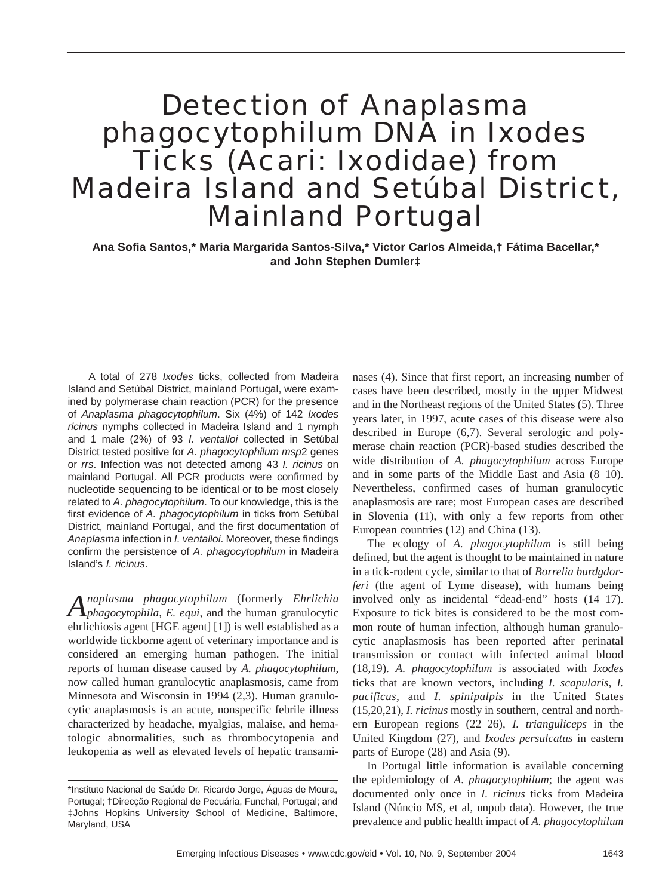# Detection of *Anaplasma phagocytophilum* DNA in *Ixodes* Ticks (Acari: *Ixodidae*) from Madeira Island and Setúbal District, Mainland Portugal

**Ana Sofia Santos,\* Maria Margarida Santos-Silva,\* Victor Carlos Almeida,† Fátima Bacellar,\* and John Stephen Dumler‡**

A total of 278 *Ixodes* ticks, collected from Madeira Island and Setúbal District, mainland Portugal, were examined by polymerase chain reaction (PCR) for the presence of *Anaplasma phagocytophilum*. Six (4%) of 142 *Ixodes ricinus* nymphs collected in Madeira Island and 1 nymph and 1 male (2%) of 93 *I. ventalloi* collected in Setúbal District tested positive for *A. phagocytophilum msp*2 genes or *rrs*. Infection was not detected among 43 *I. ricinus* on mainland Portugal. All PCR products were confirmed by nucleotide sequencing to be identical or to be most closely related to *A. phagocytophilum*. To our knowledge, this is the first evidence of *A. phagocytophilum* in ticks from Setúbal District, mainland Portugal, and the first documentation of *Anaplasma* infection in *I. ventalloi*. Moreover, these findings confirm the persistence of *A. phagocytophilum* in Madeira Island's *I. ricinus*.

*Anaplasma phagocytophilum* (formerly *Ehrlichia phagocytophila*, *E. equi*, and the human granulocytic ehrlichiosis agent [HGE agent] [1]) is well established as a worldwide tickborne agent of veterinary importance and is considered an emerging human pathogen. The initial reports of human disease caused by *A. phagocytophilum*, now called human granulocytic anaplasmosis, came from Minnesota and Wisconsin in 1994 (2,3). Human granulocytic anaplasmosis is an acute, nonspecific febrile illness characterized by headache, myalgias, malaise, and hematologic abnormalities, such as thrombocytopenia and leukopenia as well as elevated levels of hepatic transaminases (4). Since that first report, an increasing number of cases have been described, mostly in the upper Midwest and in the Northeast regions of the United States (5). Three years later, in 1997, acute cases of this disease were also described in Europe (6,7). Several serologic and polymerase chain reaction (PCR)-based studies described the wide distribution of *A. phagocytophilum* across Europe and in some parts of the Middle East and Asia (8–10). Nevertheless, confirmed cases of human granulocytic anaplasmosis are rare; most European cases are described in Slovenia (11), with only a few reports from other European countries (12) and China (13).

The ecology of *A. phagocytophilum* is still being defined, but the agent is thought to be maintained in nature in a tick-rodent cycle, similar to that of *Borrelia burdgdorferi* (the agent of Lyme disease), with humans being involved only as incidental "dead-end" hosts (14–17). Exposure to tick bites is considered to be the most common route of human infection, although human granulocytic anaplasmosis has been reported after perinatal transmission or contact with infected animal blood (18,19). *A. phagocytophilum* is associated with *Ixodes* ticks that are known vectors, including *I. scapularis*, *I. pacificus*, and *I. spinipalpis* in the United States (15,20,21), *I. ricinus* mostly in southern, central and northern European regions (22–26), *I. trianguliceps* in the United Kingdom (27), and *Ixodes persulcatus* in eastern parts of Europe (28) and Asia (9).

In Portugal little information is available concerning the epidemiology of *A. phagocytophilum*; the agent was documented only once in *I. ricinus* ticks from Madeira Island (Núncio MS, et al, unpub data). However, the true prevalence and public health impact of *A. phagocytophilum*

<sup>\*</sup>Instituto Nacional de Saúde Dr. Ricardo Jorge, Águas de Moura, Portugal; †Direcção Regional de Pecuária, Funchal, Portugal; and ‡Johns Hopkins University School of Medicine, Baltimore, Maryland, USA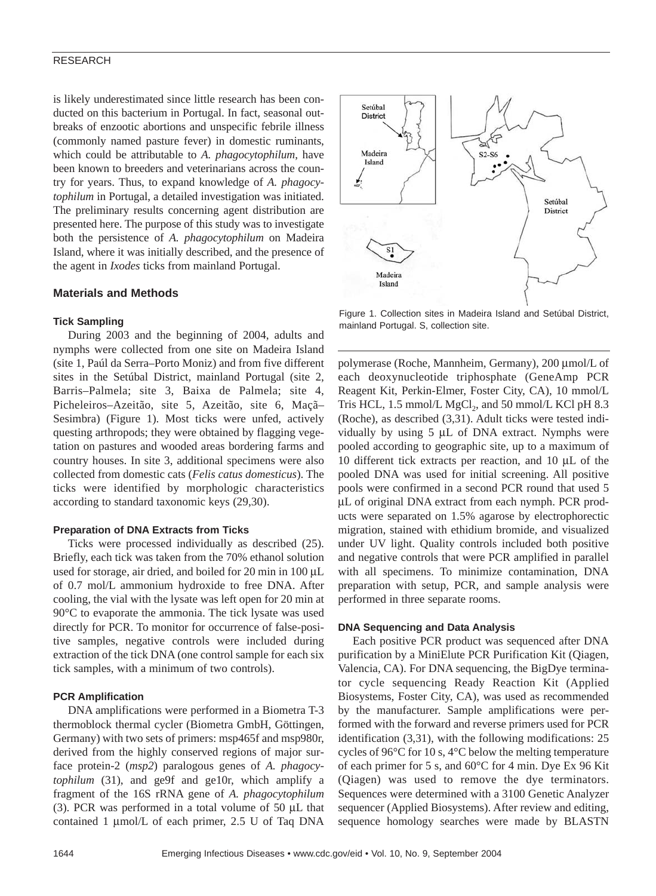## RESEARCH

is likely underestimated since little research has been conducted on this bacterium in Portugal. In fact, seasonal outbreaks of enzootic abortions and unspecific febrile illness (commonly named pasture fever) in domestic ruminants, which could be attributable to *A. phagocytophilum*, have been known to breeders and veterinarians across the country for years. Thus, to expand knowledge of *A. phagocytophilum* in Portugal, a detailed investigation was initiated. The preliminary results concerning agent distribution are presented here. The purpose of this study was to investigate both the persistence of *A. phagocytophilum* on Madeira Island, where it was initially described, and the presence of the agent in *Ixodes* ticks from mainland Portugal.

# **Materials and Methods**

### **Tick Sampling**

During 2003 and the beginning of 2004, adults and nymphs were collected from one site on Madeira Island (site 1, Paúl da Serra–Porto Moniz) and from five different sites in the Setúbal District, mainland Portugal (site 2, Barris–Palmela; site 3, Baixa de Palmela; site 4, Picheleiros–Azeitão, site 5, Azeitão, site 6, Maçã– Sesimbra) (Figure 1). Most ticks were unfed, actively questing arthropods; they were obtained by flagging vegetation on pastures and wooded areas bordering farms and country houses. In site 3, additional specimens were also collected from domestic cats (*Felis catus domesticus*). The ticks were identified by morphologic characteristics according to standard taxonomic keys (29,30).

### **Preparation of DNA Extracts from Ticks**

Ticks were processed individually as described (25). Briefly, each tick was taken from the 70% ethanol solution used for storage, air dried, and boiled for 20 min in 100 µL of 0.7 mol/L ammonium hydroxide to free DNA. After cooling, the vial with the lysate was left open for 20 min at 90°C to evaporate the ammonia. The tick lysate was used directly for PCR. To monitor for occurrence of false-positive samples, negative controls were included during extraction of the tick DNA (one control sample for each six tick samples, with a minimum of two controls).

## **PCR Amplification**

DNA amplifications were performed in a Biometra T-3 thermoblock thermal cycler (Biometra GmbH, Göttingen, Germany) with two sets of primers: msp465f and msp980r, derived from the highly conserved regions of major surface protein-2 (*msp2*) paralogous genes of *A. phagocytophilum* (31), and ge9f and ge10r, which amplify a fragment of the 16S rRNA gene of *A. phagocytophilum* (3). PCR was performed in a total volume of 50  $\mu$ L that contained 1 µmol/L of each primer, 2.5 U of Taq DNA



Figure 1. Collection sites in Madeira Island and Setúbal District, mainland Portugal. S, collection site.

polymerase (Roche, Mannheim, Germany), 200 µmol/L of each deoxynucleotide triphosphate (GeneAmp PCR Reagent Kit, Perkin-Elmer, Foster City, CA), 10 mmol/L Tris HCL,  $1.5 \text{ mmol/L MgCl}_2$ , and  $50 \text{ mmol/L KCl } pH 8.3$ (Roche), as described (3,31). Adult ticks were tested individually by using 5 µL of DNA extract. Nymphs were pooled according to geographic site, up to a maximum of 10 different tick extracts per reaction, and 10 µL of the pooled DNA was used for initial screening. All positive pools were confirmed in a second PCR round that used 5 µL of original DNA extract from each nymph. PCR products were separated on 1.5% agarose by electrophorectic migration, stained with ethidium bromide, and visualized under UV light. Quality controls included both positive and negative controls that were PCR amplified in parallel with all specimens. To minimize contamination, DNA preparation with setup, PCR, and sample analysis were performed in three separate rooms.

#### **DNA Sequencing and Data Analysis**

Each positive PCR product was sequenced after DNA purification by a MiniElute PCR Purification Kit (Qiagen, Valencia, CA). For DNA sequencing, the BigDye terminator cycle sequencing Ready Reaction Kit (Applied Biosystems, Foster City, CA), was used as recommended by the manufacturer. Sample amplifications were performed with the forward and reverse primers used for PCR identification (3,31), with the following modifications: 25 cycles of 96°C for 10 s, 4°C below the melting temperature of each primer for 5 s, and 60°C for 4 min. Dye Ex 96 Kit (Qiagen) was used to remove the dye terminators. Sequences were determined with a 3100 Genetic Analyzer sequencer (Applied Biosystems). After review and editing, sequence homology searches were made by BLASTN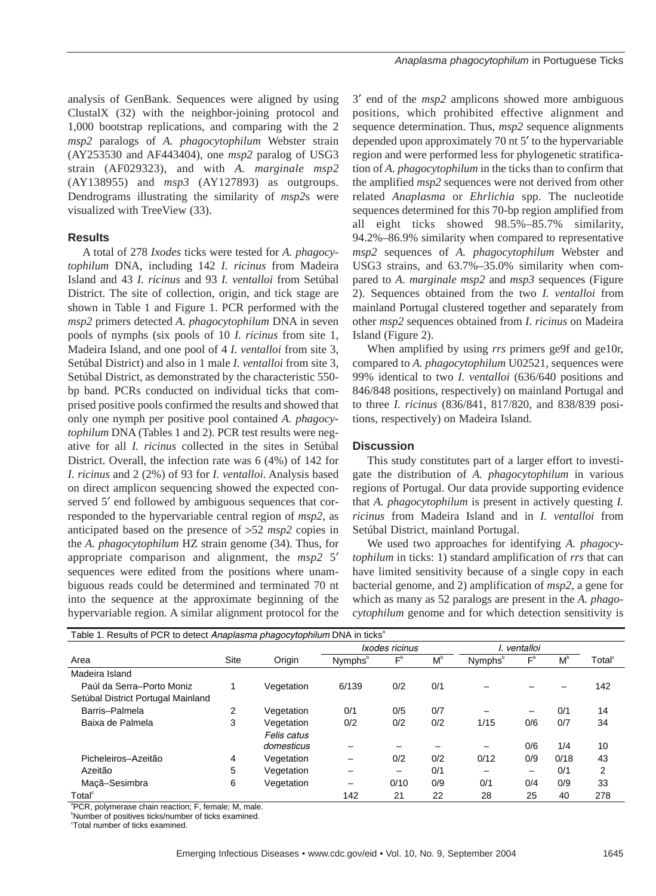analysis of GenBank. Sequences were aligned by using ClustalX (32) with the neighbor-joining protocol and 1,000 bootstrap replications, and comparing with the 2 *msp2* paralogs of *A. phagocytophilum* Webster strain (AY253530 and AF443404), one *msp2* paralog of USG3 strain (AF029323), and with *A. marginale msp2* (AY138955) and *msp3* (AY127893) as outgroups. Dendrograms illustrating the similarity of *msp2*s were visualized with TreeView (33).

# **Results**

A total of 278 *Ixodes* ticks were tested for *A. phagocytophilum* DNA, including 142 *I. ricinus* from Madeira Island and 43 *I. ricinus* and 93 *I. ventalloi* from Setúbal District. The site of collection, origin, and tick stage are shown in Table 1 and Figure 1. PCR performed with the *msp2* primers detected *A. phagocytophilum* DNA in seven pools of nymphs (six pools of 10 *I. ricinus* from site 1, Madeira Island, and one pool of 4 *I. ventalloi* from site 3, Setúbal District) and also in 1 male *I. ventalloi* from site 3, Setúbal District, as demonstrated by the characteristic 550 bp band. PCRs conducted on individual ticks that comprised positive pools confirmed the results and showed that only one nymph per positive pool contained *A. phagocytophilum* DNA (Tables 1 and 2). PCR test results were negative for all *I. ricinus* collected in the sites in Setúbal District. Overall, the infection rate was 6 (4%) of 142 for *I. ricinus* and 2 (2%) of 93 for *I. ventalloi*. Analysis based on direct amplicon sequencing showed the expected conserved 5' end followed by ambiguous sequences that corresponded to the hypervariable central region of *msp2*, as anticipated based on the presence of >52 *msp2* copies in the *A. phagocytophilum* HZ strain genome (34). Thus, for appropriate comparison and alignment, the *msp2* 5′ sequences were edited from the positions where unambiguous reads could be determined and terminated 70 nt into the sequence at the approximate beginning of the hypervariable region. A similar alignment protocol for the

3′ end of the *msp2* amplicons showed more ambiguous positions, which prohibited effective alignment and sequence determination. Thus, *msp2* sequence alignments depended upon approximately 70 nt 5′ to the hypervariable region and were performed less for phylogenetic stratification of *A. phagocytophilum* in the ticks than to confirm that the amplified *msp2* sequences were not derived from other related *Anaplasma* or *Ehrlichia* spp. The nucleotide sequences determined for this 70-bp region amplified from all eight ticks showed 98.5%–85.7% similarity, 94.2%–86.9% similarity when compared to representative *msp2* sequences of *A. phagocytophilum* Webster and USG3 strains, and 63.7%–35.0% similarity when compared to *A. marginale msp2* and *msp3* sequences (Figure 2). Sequences obtained from the two *I. ventalloi* from mainland Portugal clustered together and separately from other *msp2* sequences obtained from *I. ricinus* on Madeira Island (Figure 2).

When amplified by using *rrs* primers ge9f and ge10r, compared to *A. phagocytophilum* U02521, sequences were 99% identical to two *I. ventalloi* (636/640 positions and 846/848 positions, respectively) on mainland Portugal and to three *I. ricinus* (836/841, 817/820, and 838/839 positions, respectively) on Madeira Island.

# **Discussion**

This study constitutes part of a larger effort to investigate the distribution of *A. phagocytophilum* in various regions of Portugal. Our data provide supporting evidence that *A. phagocytophilum* is present in actively questing *I. ricinus* from Madeira Island and in *I. ventalloi* from Setúbal District, mainland Portugal.

We used two approaches for identifying *A. phagocytophilum* in ticks: 1) standard amplification of *rrs* that can have limited sensitivity because of a single copy in each bacterial genome, and 2) amplification of *msp2*, a gene for which as many as 52 paralogs are present in the *A. phagocytophilum* genome and for which detection sensitivity is

| Table 1. Results of PCR to detect Anaplasma phagocytophilum DNA in ticks <sup>a</sup> |      |             |                     |                          |              |                     |       |      |                    |  |
|---------------------------------------------------------------------------------------|------|-------------|---------------------|--------------------------|--------------|---------------------|-------|------|--------------------|--|
|                                                                                       |      |             | Ixodes ricinus      |                          | l. ventalloi |                     |       |      |                    |  |
| Area                                                                                  | Site | Origin      | Nymphs <sup>"</sup> | $F^{\text{b}}$           | $M^{\circ}$  | Nymphs <sup>"</sup> | $F^b$ | М    | Total <sup>®</sup> |  |
| Madeira Island                                                                        |      |             |                     |                          |              |                     |       |      |                    |  |
| Paúl da Serra-Porto Moniz                                                             |      | Vegetation  | 6/139               | 0/2                      | 0/1          |                     |       |      | 142                |  |
| Setúbal District Portugal Mainland                                                    |      |             |                     |                          |              |                     |       |      |                    |  |
| Barris-Palmela                                                                        | 2    | Vegetation  | 0/1                 | 0/5                      | 0/7          |                     | -     | 0/1  | 14                 |  |
| Baixa de Palmela                                                                      | 3    | Vegetation  | 0/2                 | 0/2                      | 0/2          | 1/15                | 0/6   | 0/7  | 34                 |  |
|                                                                                       |      | Felis catus |                     |                          |              |                     |       |      |                    |  |
|                                                                                       |      | domesticus  |                     |                          |              |                     | 0/6   | 1/4  | 10                 |  |
| Picheleiros-Azeitão                                                                   | 4    | Vegetation  |                     | 0/2                      | 0/2          | 0/12                | 0/9   | 0/18 | 43                 |  |
| Azeitão                                                                               | 5    | Vegetation  |                     | $\overline{\phantom{0}}$ | 0/1          | -                   | -     | 0/1  | 2                  |  |
| Macã-Sesimbra                                                                         | 6    | Vegetation  |                     | 0/10                     | 0/9          | 0/1                 | 0/4   | 0/9  | 33                 |  |
| Total <sup>®</sup>                                                                    |      |             | 142                 | 21                       | 22           | 28                  | 25    | 40   | 278                |  |
| "PCR, polymerase chain reaction; F, female; M, male.                                  |      |             |                     |                          |              |                     |       |      |                    |  |

<sup>b</sup>Number of positives ticks/number of ticks examined.

Total number of ticks examined.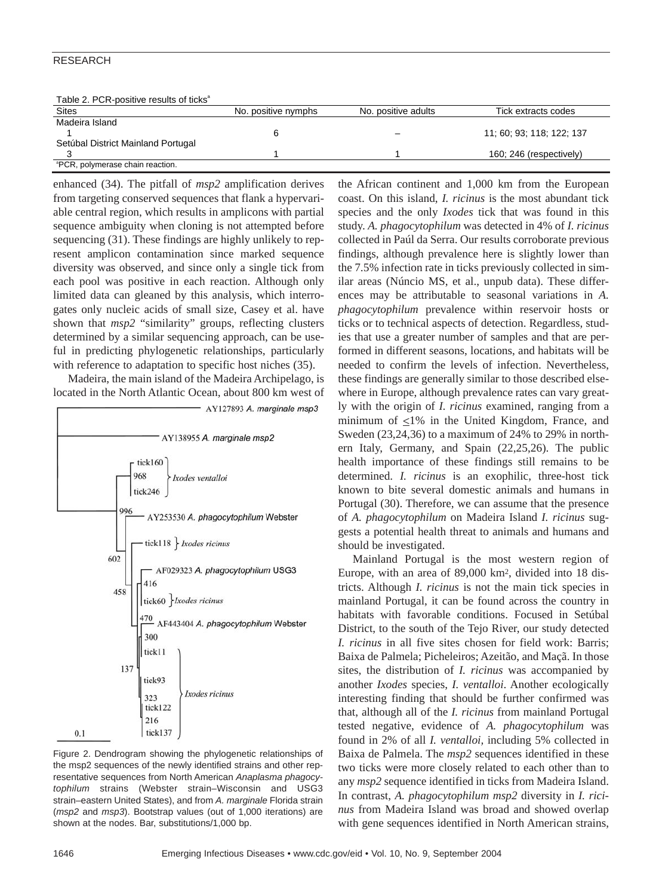# RESEARCH

Table 2. PCP positive results of ticks<sup>a</sup>

| Table 2. FUR-DOSITIVE TESUITS OF TICKS       |                     |                     |                           |  |  |
|----------------------------------------------|---------------------|---------------------|---------------------------|--|--|
| <b>Sites</b>                                 | No. positive nymphs | No. positive adults | Tick extracts codes       |  |  |
| Madeira Island                               |                     |                     |                           |  |  |
|                                              |                     | -                   | 11: 60: 93: 118: 122: 137 |  |  |
| Setúbal District Mainland Portugal           |                     |                     |                           |  |  |
|                                              |                     |                     | 160; 246 (respectively)   |  |  |
| <sup>a</sup> PCR, polymerase chain reaction. |                     |                     |                           |  |  |

enhanced (34). The pitfall of *msp2* amplification derives from targeting conserved sequences that flank a hypervariable central region, which results in amplicons with partial sequence ambiguity when cloning is not attempted before sequencing (31). These findings are highly unlikely to represent amplicon contamination since marked sequence diversity was observed, and since only a single tick from each pool was positive in each reaction. Although only limited data can gleaned by this analysis, which interrogates only nucleic acids of small size, Casey et al. have shown that  $msp2$  "similarity" groups, reflecting clusters determined by a similar sequencing approach, can be useful in predicting phylogenetic relationships, particularly with reference to adaptation to specific host niches  $(35)$ .

Madeira, the main island of the Madeira Archipelago, is located in the North Atlantic Ocean, about 800 km west of



Figure 2. Dendrogram showing the phylogenetic relationships of the msp2 sequences of the newly identified strains and other representative sequences from North American *Anaplasma phagocytophilum* strains (Webster strain–Wisconsin and USG3 strain–eastern United States), and from *A. marginale* Florida strain (*msp2* and *msp3*). Bootstrap values (out of 1,000 iterations) are shown at the nodes. Bar, substitutions/1,000 bp.

the African continent and 1,000 km from the European coast. On this island, *I. ricinus* is the most abundant tick species and the only *Ixodes* tick that was found in this study. *A. phagocytophilum* was detected in 4% of *I. ricinus* collected in Paúl da Serra. Our results corroborate previous findings, although prevalence here is slightly lower than the 7.5% infection rate in ticks previously collected in similar areas (Núncio MS, et al., unpub data). These differences may be attributable to seasonal variations in *A. phagocytophilum* prevalence within reservoir hosts or ticks or to technical aspects of detection. Regardless, studies that use a greater number of samples and that are performed in different seasons, locations, and habitats will be needed to confirm the levels of infection. Nevertheless, these findings are generally similar to those described elsewhere in Europe, although prevalence rates can vary greatly with the origin of *I. ricinus* examined, ranging from a minimum of  $\leq$ 1% in the United Kingdom, France, and Sweden (23,24,36) to a maximum of 24% to 29% in northern Italy, Germany, and Spain (22,25,26). The public health importance of these findings still remains to be determined. *I. ricinus* is an exophilic, three-host tick known to bite several domestic animals and humans in Portugal (30). Therefore, we can assume that the presence of *A. phagocytophilum* on Madeira Island *I. ricinus* suggests a potential health threat to animals and humans and should be investigated.

Mainland Portugal is the most western region of Europe, with an area of 89,000 km2, divided into 18 districts. Although *I. ricinus* is not the main tick species in mainland Portugal, it can be found across the country in habitats with favorable conditions. Focused in Setúbal District, to the south of the Tejo River, our study detected *I. ricinus* in all five sites chosen for field work: Barris; Baixa de Palmela; Picheleiros; Azeitão, and Maçã. In those sites, the distribution of *I. ricinus* was accompanied by another *Ixodes* species, *I. ventalloi*. Another ecologically interesting finding that should be further confirmed was that, although all of the *I. ricinus* from mainland Portugal tested negative, evidence of *A. phagocytophilum* was found in 2% of all *I. ventalloi,* including 5% collected in Baixa de Palmela. The *msp2* sequences identified in these two ticks were more closely related to each other than to any *msp2* sequence identified in ticks from Madeira Island. In contrast, *A. phagocytophilum msp2* diversity in *I. ricinus* from Madeira Island was broad and showed overlap with gene sequences identified in North American strains,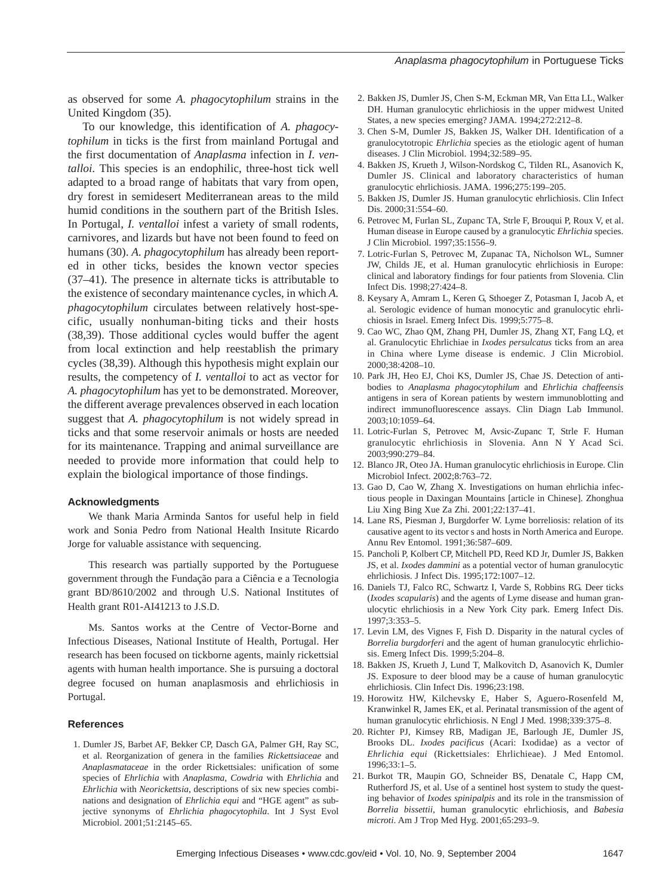as observed for some *A. phagocytophilum* strains in the United Kingdom (35).

To our knowledge, this identification of *A. phagocytophilum* in ticks is the first from mainland Portugal and the first documentation of *Anaplasma* infection in *I. ventalloi*. This species is an endophilic, three-host tick well adapted to a broad range of habitats that vary from open, dry forest in semidesert Mediterranean areas to the mild humid conditions in the southern part of the British Isles. In Portugal, *I. ventalloi* infest a variety of small rodents, carnivores, and lizards but have not been found to feed on humans (30). *A. phagocytophilum* has already been reported in other ticks, besides the known vector species (37–41). The presence in alternate ticks is attributable to the existence of secondary maintenance cycles, in which *A. phagocytophilum* circulates between relatively host-specific, usually nonhuman-biting ticks and their hosts (38,39). Those additional cycles would buffer the agent from local extinction and help reestablish the primary cycles (38,39). Although this hypothesis might explain our results, the competency of *I. ventalloi* to act as vector for *A. phagocytophilum* has yet to be demonstrated. Moreover, the different average prevalences observed in each location suggest that *A. phagocytophilum* is not widely spread in ticks and that some reservoir animals or hosts are needed for its maintenance. Trapping and animal surveillance are needed to provide more information that could help to explain the biological importance of those findings.

#### **Acknowledgments**

We thank Maria Arminda Santos for useful help in field work and Sonia Pedro from National Health Insitute Ricardo Jorge for valuable assistance with sequencing.

This research was partially supported by the Portuguese government through the Fundação para a Ciência e a Tecnologia grant BD/8610/2002 and through U.S. National Institutes of Health grant R01-AI41213 to J.S.D.

Ms. Santos works at the Centre of Vector-Borne and Infectious Diseases, National Institute of Health, Portugal. Her research has been focused on tickborne agents, mainly rickettsial agents with human health importance. She is pursuing a doctoral degree focused on human anaplasmosis and ehrlichiosis in Portugal.

#### **References**

1. Dumler JS, Barbet AF, Bekker CP, Dasch GA, Palmer GH, Ray SC, et al. Reorganization of genera in the families *Rickettsiaceae* and *Anaplasmataceae* in the order Rickettsiales: unification of some species of *Ehrlichia* with *Anaplasma*, *Cowdria* with *Ehrlichia* and *Ehrlichia* with *Neorickettsia*, descriptions of six new species combinations and designation of *Ehrlichia equi* and "HGE agent" as subjective synonyms of *Ehrlichia phagocytophila*. Int J Syst Evol Microbiol. 2001;51:2145–65.

- 2. Bakken JS, Dumler JS, Chen S-M, Eckman MR, Van Etta LL, Walker DH. Human granulocytic ehrlichiosis in the upper midwest United States, a new species emerging? JAMA. 1994;272:212–8.
- 3. Chen S-M, Dumler JS, Bakken JS, Walker DH. Identification of a granulocytotropic *Ehrlichia* species as the etiologic agent of human diseases. J Clin Microbiol. 1994;32:589–95.
- 4. Bakken JS, Krueth J, Wilson-Nordskog C, Tilden RL, Asanovich K, Dumler JS. Clinical and laboratory characteristics of human granulocytic ehrlichiosis. JAMA. 1996;275:199–205.
- 5. Bakken JS, Dumler JS. Human granulocytic ehrlichiosis. Clin Infect Dis. 2000;31:554–60.
- 6. Petrovec M, Furlan SL, Zupanc TA, Strle F, Brouqui P, Roux V, et al. Human disease in Europe caused by a granulocytic *Ehrlichia* species. J Clin Microbiol. 1997;35:1556–9.
- 7. Lotric-Furlan S, Petrovec M, Zupanac TA, Nicholson WL, Sumner JW, Childs JE, et al. Human granulocytic ehrlichiosis in Europe: clinical and laboratory findings for four patients from Slovenia. Clin Infect Dis. 1998;27:424–8.
- 8. Keysary A, Amram L, Keren G, Sthoeger Z, Potasman I, Jacob A, et al. Serologic evidence of human monocytic and granulocytic ehrlichiosis in Israel. Emerg Infect Dis. 1999;5:775–8.
- 9. Cao WC, Zhao QM, Zhang PH, Dumler JS, Zhang XT, Fang LQ, et al. Granulocytic Ehrlichiae in *Ixodes persulcatus* ticks from an area in China where Lyme disease is endemic. J Clin Microbiol. 2000;38:4208–10.
- 10. Park JH, Heo EJ, Choi KS, Dumler JS, Chae JS. Detection of antibodies to *Anaplasma phagocytophilum* and *Ehrlichia chaffeensis* antigens in sera of Korean patients by western immunoblotting and indirect immunofluorescence assays. Clin Diagn Lab Immunol. 2003;10:1059–64.
- 11. Lotric-Furlan S, Petrovec M, Avsic-Zupanc T, Strle F. Human granulocytic ehrlichiosis in Slovenia. Ann N Y Acad Sci. 2003;990:279–84.
- 12. Blanco JR, Oteo JA. Human granulocytic ehrlichiosis in Europe. Clin Microbiol Infect. 2002;8:763–72.
- 13. Gao D, Cao W, Zhang X. Investigations on human ehrlichia infectious people in Daxingan Mountains [article in Chinese]. Zhonghua Liu Xing Bing Xue Za Zhi. 2001;22:137–41.
- 14. Lane RS, Piesman J, Burgdorfer W. Lyme borreliosis: relation of its causative agent to its vector s and hosts in North America and Europe. Annu Rev Entomol. 1991;36:587–609.
- 15. Pancholi P, Kolbert CP, Mitchell PD, Reed KD Jr, Dumler JS, Bakken JS, et al. *Ixodes dammini* as a potential vector of human granulocytic ehrlichiosis. J Infect Dis. 1995;172:1007–12.
- 16. Daniels TJ, Falco RC, Schwartz I, Varde S, Robbins RG. Deer ticks (*Ixodes scapularis*) and the agents of Lyme disease and human granulocytic ehrlichiosis in a New York City park. Emerg Infect Dis. 1997;3:353–5.
- 17. Levin LM, des Vignes F, Fish D. Disparity in the natural cycles of *Borrelia burgdorferi* and the agent of human granulocytic ehrlichiosis. Emerg Infect Dis. 1999;5:204–8.
- 18. Bakken JS, Krueth J, Lund T, Malkovitch D, Asanovich K, Dumler JS. Exposure to deer blood may be a cause of human granulocytic ehrlichiosis. Clin Infect Dis. 1996;23:198.
- 19. Horowitz HW, Kilchevsky E, Haber S, Aguero-Rosenfeld M, Kranwinkel R, James EK, et al. Perinatal transmission of the agent of human granulocytic ehrlichiosis. N Engl J Med. 1998;339:375–8.
- 20. Richter PJ, Kimsey RB, Madigan JE, Barlough JE, Dumler JS, Brooks DL. *Ixodes pacificus* (Acari: Ixodidae) as a vector of *Ehrlichia equi* (Rickettsiales: Ehrlichieae). J Med Entomol. 1996;33:1–5.
- 21. Burkot TR, Maupin GO, Schneider BS, Denatale C, Happ CM, Rutherford JS, et al. Use of a sentinel host system to study the questing behavior of *Ixodes spinipalpis* and its role in the transmission of *Borrelia bissettii*, human granulocytic ehrlichiosis, and *Babesia microti*. Am J Trop Med Hyg. 2001;65:293–9.